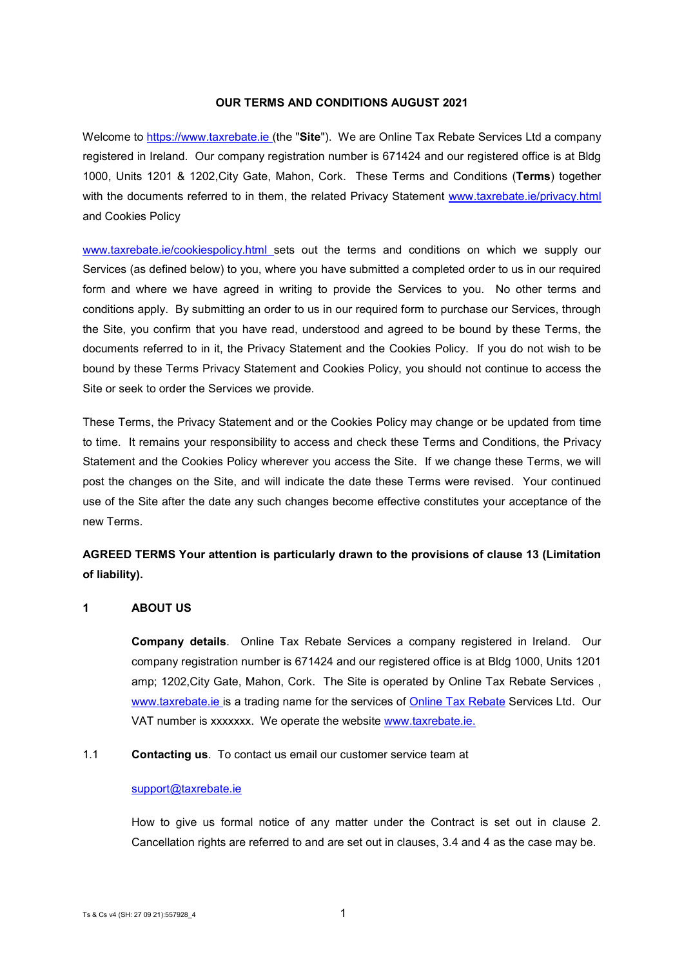#### **OUR TERMS AND CONDITIONS AUGUST 2021**

Welcome to [https://www.taxrebate.ie \(](https://www.tax-rebates.ie/)the "**Site**"). We are Online Tax Rebate Services Ltd a company registered in Ireland. Our company registration number is 671424 and our registered office is at Bldg 1000, Units 1201 & 1202,City Gate, Mahon, Cork. These Terms and Conditions (**Terms**) together with the documents referred to in them, the related Privacy Statement www.taxrebate.ie/privacy.html and Cookies Policy

[www.taxrebate.ie/cookiespolicy.html s](http://www.taxrebate.ie/cookiespolicy.html)ets out the terms and conditions on which we supply our Services (as defined below) to you, where you have submitted a completed order to us in our required form and where we have agreed in writing to provide the Services to you. No other terms and conditions apply. By submitting an order to us in our required form to purchase our Services, through the Site, you confirm that you have read, understood and agreed to be bound by these Terms, the documents referred to in it, the Privacy Statement and the Cookies Policy. If you do not wish to be bound by these Terms Privacy Statement and Cookies Policy, you should not continue to access the Site or seek to order the Services we provide.

These Terms, the Privacy Statement and or the Cookies Policy may change or be updated from time to time. It remains your responsibility to access and check these Terms and Conditions, the Privacy Statement and the Cookies Policy wherever you access the Site. If we change these Terms, we will post the changes on the Site, and will indicate the date these Terms were revised. Your continued use of the Site after the date any such changes become effective constitutes your acceptance of the new Terms.

# **AGREED TERMS Your attention is particularly drawn to the provisions of clause 13 (Limitation of liability).**

## <span id="page-0-0"></span>**1 ABOUT US**

**Company details**. Online Tax Rebate Services a company registered in Ireland. Our company registration number is 671424 and our registered office is at Bldg 1000, Units 1201 amp; 1202,City Gate, Mahon, Cork. The Site is operated by Online Tax Rebate Services , [www.taxrebate.ie i](http://www.tax-rebates.ie/)s a trading name for the services of **Online Tax Rebate** Services Ltd. Our VAT number is xxxxxxx. We operate the website [www.taxrebate.ie.](http://www.taxrebate.ie/)

#### 1.1 **Contacting us**. To contact us email our customer service team at

#### [support@taxrebate.ie](mailto:support@taxrebate.ie)

How to give us formal notice of any matter under the Contract is set out in clause 2. Cancellation rights are referred to and are set out in clauses, 3.4 and 4 as the case may be.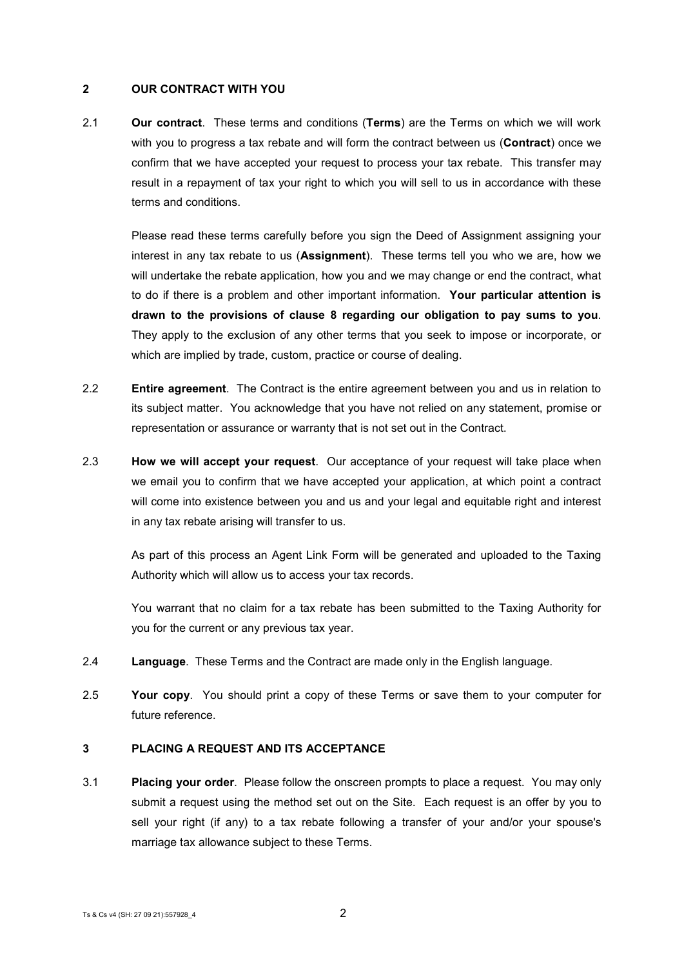## **2 OUR CONTRACT WITH YOU**

2.1 **Our contract**. These terms and conditions (**Terms**) are the Terms on which we will work with you to progress a tax rebate and will form the contract between us (**Contract**) once we confirm that we have accepted your request to process your tax rebate. This transfer may result in a repayment of tax your right to which you will sell to us in accordance with these terms and conditions.

Please read these terms carefully before you sign the Deed of Assignment assigning your interest in any tax rebate to us (**Assignment**). These terms tell you who we are, how we will undertake the rebate application, how you and we may change or end the contract, what to do if there is a problem and other important information. **Your particular attention is drawn to the provisions of clause [8](#page-5-0) regarding our obligation to pay sums to you**. They apply to the exclusion of any other terms that you seek to impose or incorporate, or which are implied by trade, custom, practice or course of dealing.

- 2.2 **Entire agreement**. The Contract is the entire agreement between you and us in relation to its subject matter. You acknowledge that you have not relied on any statement, promise or representation or assurance or warranty that is not set out in the Contract.
- 2.3 **How we will accept your request**. Our acceptance of your request will take place when we email you to confirm that we have accepted your application, at which point a contract will come into existence between you and us and your legal and equitable right and interest in any tax rebate arising will transfer to us.

As part of this process an Agent Link Form will be generated and uploaded to the Taxing Authority which will allow us to access your tax records.

You warrant that no claim for a tax rebate has been submitted to the Taxing Authority for you for the current or any previous tax year.

- 2.4 **Language**. These Terms and the Contract are made only in the English language.
- 2.5 **Your copy**. You should print a copy of these Terms or save them to your computer for future reference.

# **3 PLACING A REQUEST AND ITS ACCEPTANCE**

3.1 **Placing your order**. Please follow the onscreen prompts to place a request. You may only submit a request using the method set out on the Site. Each request is an offer by you to sell your right (if any) to a tax rebate following a transfer of your and/or your spouse's marriage tax allowance subject to these Terms.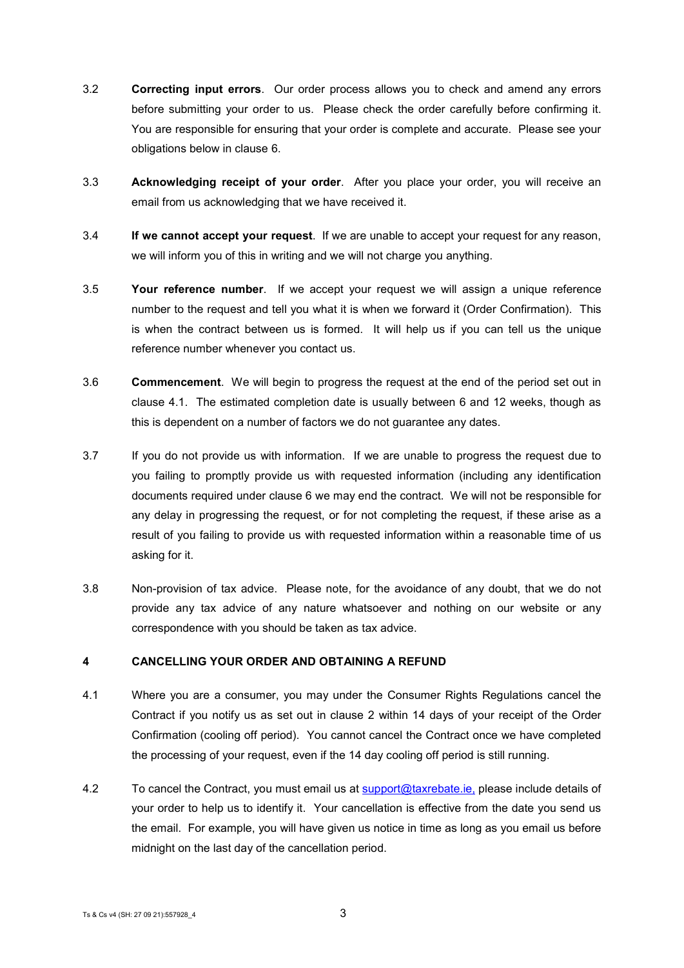- 3.2 **Correcting input errors**. Our order process allows you to check and amend any errors before submitting your order to us. Please check the order carefully before confirming it. You are responsible for ensuring that your order is complete and accurate. Please see your obligations below in clause 6.
- 3.3 **Acknowledging receipt of your order**. After you place your order, you will receive an email from us acknowledging that we have received it.
- 3.4 **If we cannot accept your request**. If we are unable to accept your request for any reason, we will inform you of this in writing and we will not charge you anything.
- 3.5 **Your reference number**. If we accept your request we will assign a unique reference number to the request and tell you what it is when we forward it (Order Confirmation). This is when the contract between us is formed. It will help us if you can tell us the unique reference number whenever you contact us.
- 3.6 **Commencement**. We will begin to progress the request at the end of the period set out in clause [4.1.](#page-2-0) The estimated completion date is usually between 6 and 12 weeks, though as this is dependent on a number of factors we do not guarantee any dates.
- 3.7 If you do not provide us with information. If we are unable to progress the request due to you failing to promptly provide us with requested information (including any identification documents required under clause [6](#page-3-0) we may end the contract. We will not be responsible for any delay in progressing the request, or for not completing the request, if these arise as a result of you failing to provide us with requested information within a reasonable time of us asking for it.
- 3.8 Non-provision of tax advice. Please note, for the avoidance of any doubt, that we do not provide any tax advice of any nature whatsoever and nothing on our website or any correspondence with you should be taken as tax advice.

## **4 CANCELLING YOUR ORDER AND OBTAINING A REFUND**

- <span id="page-2-0"></span>4.1 Where you are a consumer, you may under the Consumer Rights Regulations cancel the Contract if you notify us as set out in clause 2 within 14 days of your receipt of the Order Confirmation (cooling off period). You cannot cancel the Contract once we have completed the processing of your request, even if the 14 day cooling off period is still running.
- 4.2 To cancel the Contract, you must email us at [support@taxrebate.ie,](mailto:support@taxrebate.ie,) please include details of your order to help us to identify it. Your cancellation is effective from the date you send us the email. For example, you will have given us notice in time as long as you email us before midnight on the last day of the cancellation period.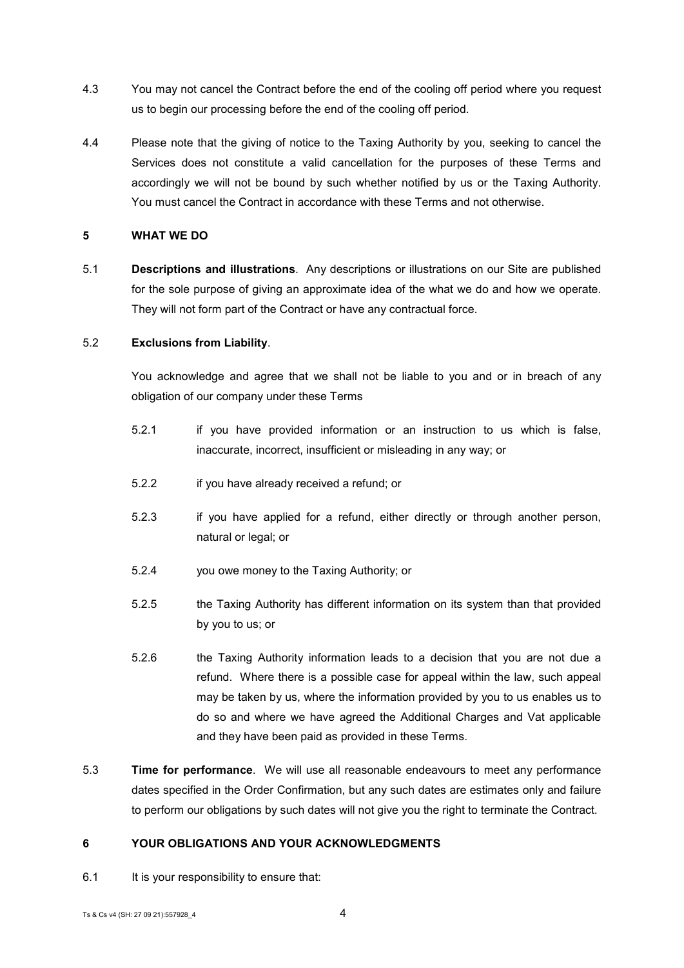- 4.3 You may not cancel the Contract before the end of the cooling off period where you request us to begin our processing before the end of the cooling off period.
- 4.4 Please note that the giving of notice to the Taxing Authority by you, seeking to cancel the Services does not constitute a valid cancellation for the purposes of these Terms and accordingly we will not be bound by such whether notified by us or the Taxing Authority. You must cancel the Contract in accordance with these Terms and not otherwise.

## **5 WHAT WE DO**

5.1 **Descriptions and illustrations**. Any descriptions or illustrations on our Site are published for the sole purpose of giving an approximate idea of the what we do and how we operate. They will not form part of the Contract or have any contractual force.

## 5.2 **Exclusions from Liability**.

You acknowledge and agree that we shall not be liable to you and or in breach of any obligation of our company under these Terms

- 5.2.1 if you have provided information or an instruction to us which is false, inaccurate, incorrect, insufficient or misleading in any way; or
- 5.2.2 if you have already received a refund; or
- 5.2.3 if you have applied for a refund, either directly or through another person, natural or legal; or
- 5.2.4 you owe money to the Taxing Authority; or
- 5.2.5 the Taxing Authority has different information on its system than that provided by you to us; or
- 5.2.6 the Taxing Authority information leads to a decision that you are not due a refund. Where there is a possible case for appeal within the law, such appeal may be taken by us, where the information provided by you to us enables us to do so and where we have agreed the Additional Charges and Vat applicable and they have been paid as provided in these Terms.
- 5.3 **Time for performance**. We will use all reasonable endeavours to meet any performance dates specified in the Order Confirmation, but any such dates are estimates only and failure to perform our obligations by such dates will not give you the right to terminate the Contract.

## <span id="page-3-0"></span>**6 YOUR OBLIGATIONS AND YOUR ACKNOWLEDGMENTS**

6.1 It is your responsibility to ensure that: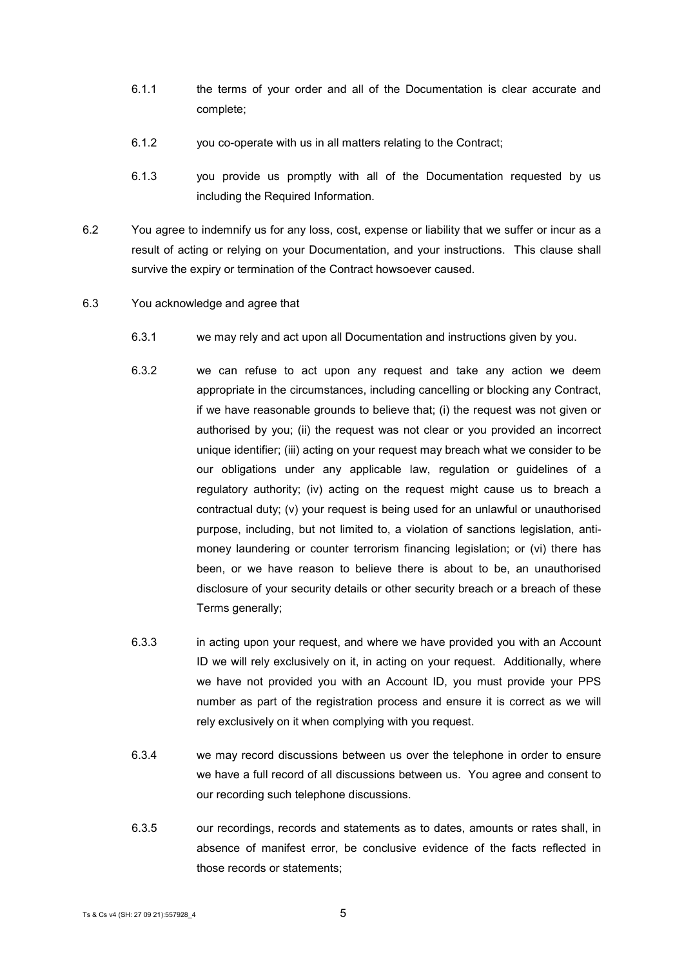- 6.1.1 the terms of your order and all of the Documentation is clear accurate and complete;
- 6.1.2 you co-operate with us in all matters relating to the Contract;
- 6.1.3 you provide us promptly with all of the Documentation requested by us including the Required Information.
- 6.2 You agree to indemnify us for any loss, cost, expense or liability that we suffer or incur as a result of acting or relying on your Documentation, and your instructions. This clause shall survive the expiry or termination of the Contract howsoever caused.
- 6.3 You acknowledge and agree that
	- 6.3.1 we may rely and act upon all Documentation and instructions given by you.
	- 6.3.2 we can refuse to act upon any request and take any action we deem appropriate in the circumstances, including cancelling or blocking any Contract, if we have reasonable grounds to believe that; (i) the request was not given or authorised by you; (ii) the request was not clear or you provided an incorrect unique identifier; (iii) acting on your request may breach what we consider to be our obligations under any applicable law, regulation or guidelines of a regulatory authority; (iv) acting on the request might cause us to breach a contractual duty; (v) your request is being used for an unlawful or unauthorised purpose, including, but not limited to, a violation of sanctions legislation, antimoney laundering or counter terrorism financing legislation; or (vi) there has been, or we have reason to believe there is about to be, an unauthorised disclosure of your security details or other security breach or a breach of these Terms generally;
	- 6.3.3 in acting upon your request, and where we have provided you with an Account ID we will rely exclusively on it, in acting on your request. Additionally, where we have not provided you with an Account ID, you must provide your PPS number as part of the registration process and ensure it is correct as we will rely exclusively on it when complying with you request.
	- 6.3.4 we may record discussions between us over the telephone in order to ensure we have a full record of all discussions between us. You agree and consent to our recording such telephone discussions.
	- 6.3.5 our recordings, records and statements as to dates, amounts or rates shall, in absence of manifest error, be conclusive evidence of the facts reflected in those records or statements;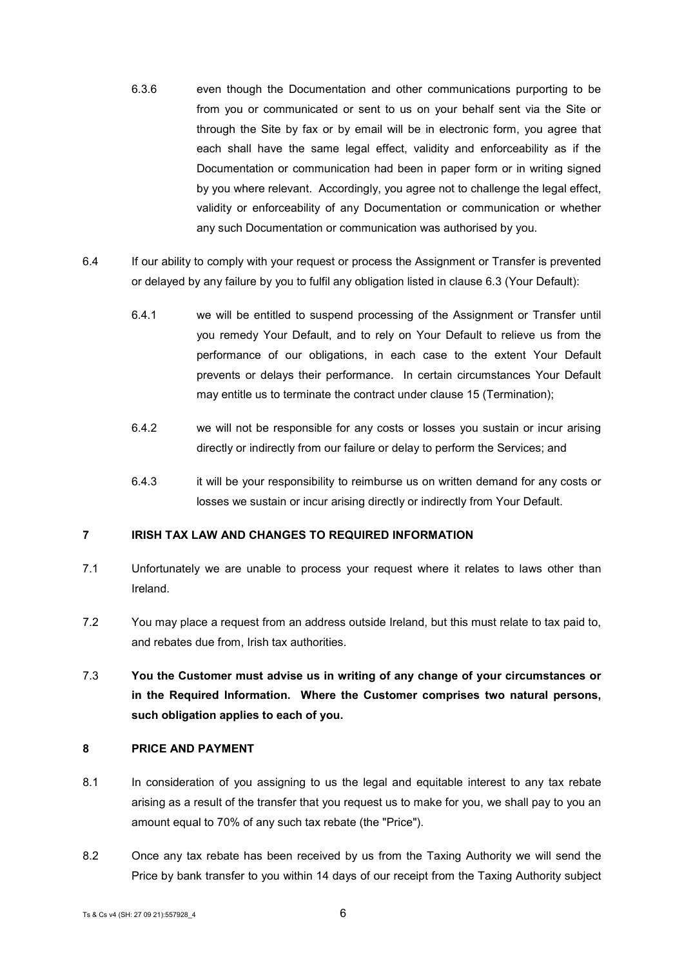- 6.3.6 even though the Documentation and other communications purporting to be from you or communicated or sent to us on your behalf sent via the Site or through the Site by fax or by email will be in electronic form, you agree that each shall have the same legal effect, validity and enforceability as if the Documentation or communication had been in paper form or in writing signed by you where relevant. Accordingly, you agree not to challenge the legal effect, validity or enforceability of any Documentation or communication or whether any such Documentation or communication was authorised by you.
- 6.4 If our ability to comply with your request or process the Assignment or Transfer is prevented or delayed by any failure by you to fulfil any obligation listed in clause 6.3 (Your Default):
	- 6.4.1 we will be entitled to suspend processing of the Assignment or Transfer until you remedy Your Default, and to rely on Your Default to relieve us from the performance of our obligations, in each case to the extent Your Default prevents or delays their performance. In certain circumstances Your Default may entitle us to terminate the contract under clause 15 (Termination);
	- 6.4.2 we will not be responsible for any costs or losses you sustain or incur arising directly or indirectly from our failure or delay to perform the Services; and
	- 6.4.3 it will be your responsibility to reimburse us on written demand for any costs or losses we sustain or incur arising directly or indirectly from Your Default.

# **7 IRISH TAX LAW AND CHANGES TO REQUIRED INFORMATION**

- 7.1 Unfortunately we are unable to process your request where it relates to laws other than Ireland.
- 7.2 You may place a request from an address outside Ireland, but this must relate to tax paid to, and rebates due from, Irish tax authorities.
- 7.3 **You the Customer must advise us in writing of any change of your circumstances or in the Required Information. Where the Customer comprises two natural persons, such obligation applies to each of you.**

#### <span id="page-5-0"></span>**8 PRICE AND PAYMENT**

- 8.1 In consideration of you assigning to us the legal and equitable interest to any tax rebate arising as a result of the transfer that you request us to make for you, we shall pay to you an amount equal to 70% of any such tax rebate (the "Price").
- <span id="page-5-1"></span>8.2 Once any tax rebate has been received by us from the Taxing Authority we will send the Price by bank transfer to you within 14 days of our receipt from the Taxing Authority subject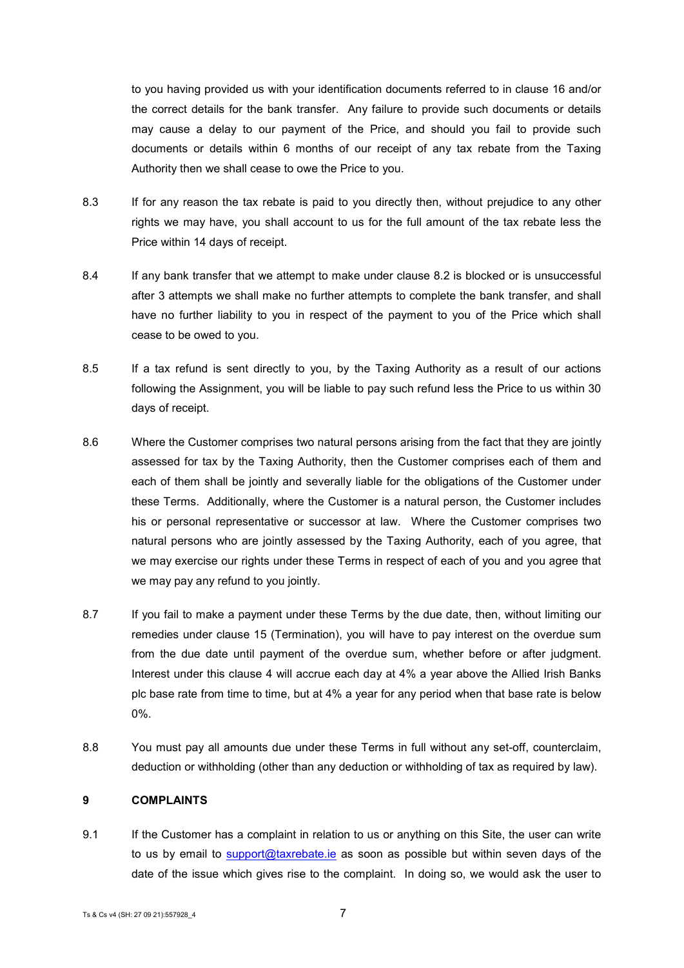to you having provided us with your identification documents referred to in clause 16 and/or the correct details for the bank transfer. Any failure to provide such documents or details may cause a delay to our payment of the Price, and should you fail to provide such documents or details within 6 months of our receipt of any tax rebate from the Taxing Authority then we shall cease to owe the Price to you.

- 8.3 If for any reason the tax rebate is paid to you directly then, without prejudice to any other rights we may have, you shall account to us for the full amount of the tax rebate less the Price within 14 days of receipt.
- 8.4 If any bank transfer that we attempt to make under clause [8.2](#page-5-1) is blocked or is unsuccessful after 3 attempts we shall make no further attempts to complete the bank transfer, and shall have no further liability to you in respect of the payment to you of the Price which shall cease to be owed to you.
- 8.5 If a tax refund is sent directly to you, by the Taxing Authority as a result of our actions following the Assignment, you will be liable to pay such refund less the Price to us within 30 days of receipt.
- 8.6 Where the Customer comprises two natural persons arising from the fact that they are jointly assessed for tax by the Taxing Authority, then the Customer comprises each of them and each of them shall be jointly and severally liable for the obligations of the Customer under these Terms. Additionally, where the Customer is a natural person, the Customer includes his or personal representative or successor at law. Where the Customer comprises two natural persons who are jointly assessed by the Taxing Authority, each of you agree, that we may exercise our rights under these Terms in respect of each of you and you agree that we may pay any refund to you jointly.
- 8.7 If you fail to make a payment under these Terms by the due date, then, without limiting our remedies under clause 15 (Termination), you will have to pay interest on the overdue sum from the due date until payment of the overdue sum, whether before or after judgment. Interest under this clause 4 will accrue each day at 4% a year above the Allied Irish Banks plc base rate from time to time, but at 4% a year for any period when that base rate is below 0%.
- 8.8 You must pay all amounts due under these Terms in full without any set-off, counterclaim, deduction or withholding (other than any deduction or withholding of tax as required by law).

## **9 COMPLAINTS**

9.1 If the Customer has a complaint in relation to us or anything on this Site, the user can write to us by email to [support@taxrebate.ie](mailto:support@taxrebate.ie) as soon as possible but within seven days of the date of the issue which gives rise to the complaint. In doing so, we would ask the user to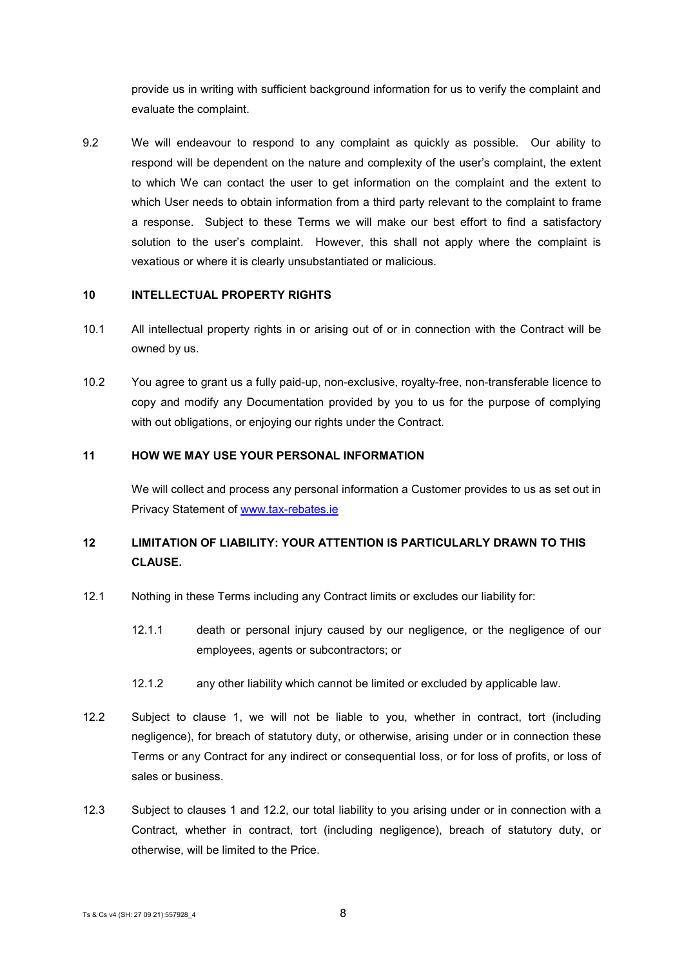provide us in writing with sufficient background information for us to verify the complaint and evaluate the complaint.

9.2 We will endeavour to respond to any complaint as quickly as possible. Our ability to respond will be dependent on the nature and complexity of the user's complaint, the extent to which We can contact the user to get information on the complaint and the extent to which User needs to obtain information from a third party relevant to the complaint to frame a response. Subject to these Terms we will make our best effort to find a satisfactory solution to the user's complaint. However, this shall not apply where the complaint is vexatious or where it is clearly unsubstantiated or malicious.

#### **10 INTELLECTUAL PROPERTY RIGHTS**

- 10.1 All intellectual property rights in or arising out of or in connection with the Contract will be owned by us.
- 10.2 You agree to grant us a fully paid-up, non-exclusive, royalty-free, non-transferable licence to copy and modify any Documentation provided by you to us for the purpose of complying with out obligations, or enjoying our rights under the Contract.

## **11 HOW WE MAY USE YOUR PERSONAL INFORMATION**

We will collect and process any personal information a Customer provides to us as set out in Privacy Statement of [www.tax-rebates.ie](http://www.tax-rebates.ie/)

# <span id="page-7-1"></span>**12 LIMITATION OF LIABILITY: YOUR ATTENTION IS PARTICULARLY DRAWN TO THIS CLAUSE.**

- 12.1 Nothing in these Terms including any Contract limits or excludes our liability for:
	- 12.1.1 death or personal injury caused by our negligence, or the negligence of our employees, agents or subcontractors; or
	- 12.1.2 any other liability which cannot be limited or excluded by applicable law.
- <span id="page-7-0"></span>12.2 Subject to clause [1,](#page-0-0) we will not be liable to you, whether in contract, tort (including negligence), for breach of statutory duty, or otherwise, arising under or in connection these Terms or any Contract for any indirect or consequential loss, or for loss of profits, or loss of sales or business.
- 12.3 Subject to clauses [1](#page-0-0) and [12.2,](#page-7-0) our total liability to you arising under or in connection with a Contract, whether in contract, tort (including negligence), breach of statutory duty, or otherwise, will be limited to the Price.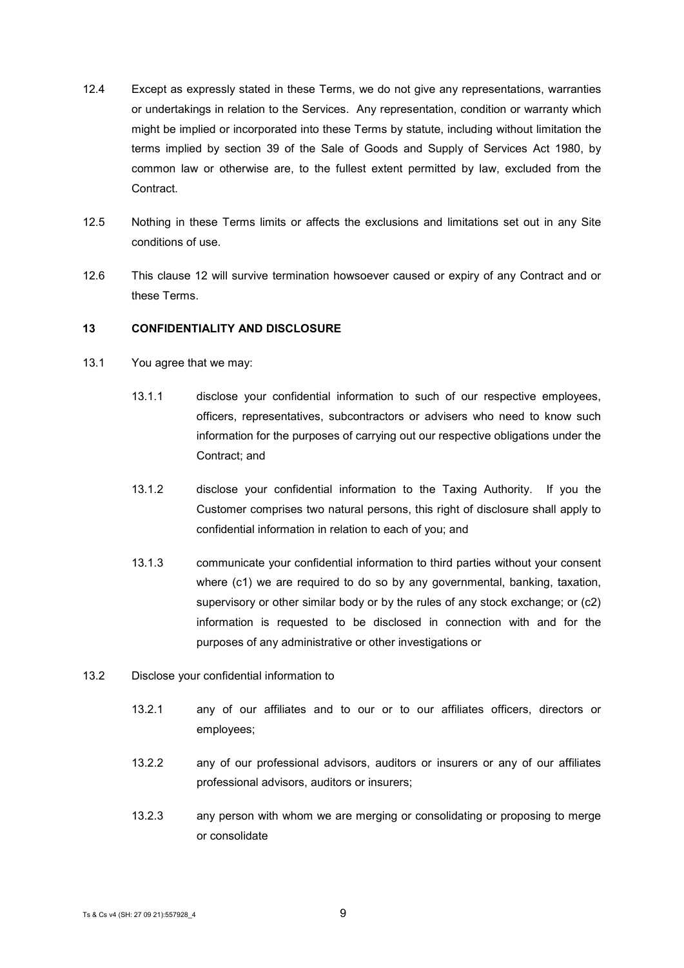- 12.4 Except as expressly stated in these Terms, we do not give any representations, warranties or undertakings in relation to the Services. Any representation, condition or warranty which might be implied or incorporated into these Terms by statute, including without limitation the terms implied by section 39 of the Sale of Goods and Supply of Services Act 1980, by common law or otherwise are, to the fullest extent permitted by law, excluded from the **Contract**
- 12.5 Nothing in these Terms limits or affects the exclusions and limitations set out in any Site conditions of use.
- 12.6 This clause [12](#page-7-1) will survive termination howsoever caused or expiry of any Contract and or these Terms.

#### **13 CONFIDENTIALITY AND DISCLOSURE**

- <span id="page-8-0"></span>13.1 You agree that we may:
	- 13.1.1 disclose your confidential information to such of our respective employees, officers, representatives, subcontractors or advisers who need to know such information for the purposes of carrying out our respective obligations under the Contract; and
	- 13.1.2 disclose your confidential information to the Taxing Authority. If you the Customer comprises two natural persons, this right of disclosure shall apply to confidential information in relation to each of you; and
	- 13.1.3 communicate your confidential information to third parties without your consent where (c1) we are required to do so by any governmental, banking, taxation, supervisory or other similar body or by the rules of any stock exchange; or (c2) information is requested to be disclosed in connection with and for the purposes of any administrative or other investigations or
- <span id="page-8-1"></span>13.2 Disclose your confidential information to
	- 13.2.1 any of our affiliates and to our or to our affiliates officers, directors or employees;
	- 13.2.2 any of our professional advisors, auditors or insurers or any of our affiliates professional advisors, auditors or insurers;
	- 13.2.3 any person with whom we are merging or consolidating or proposing to merge or consolidate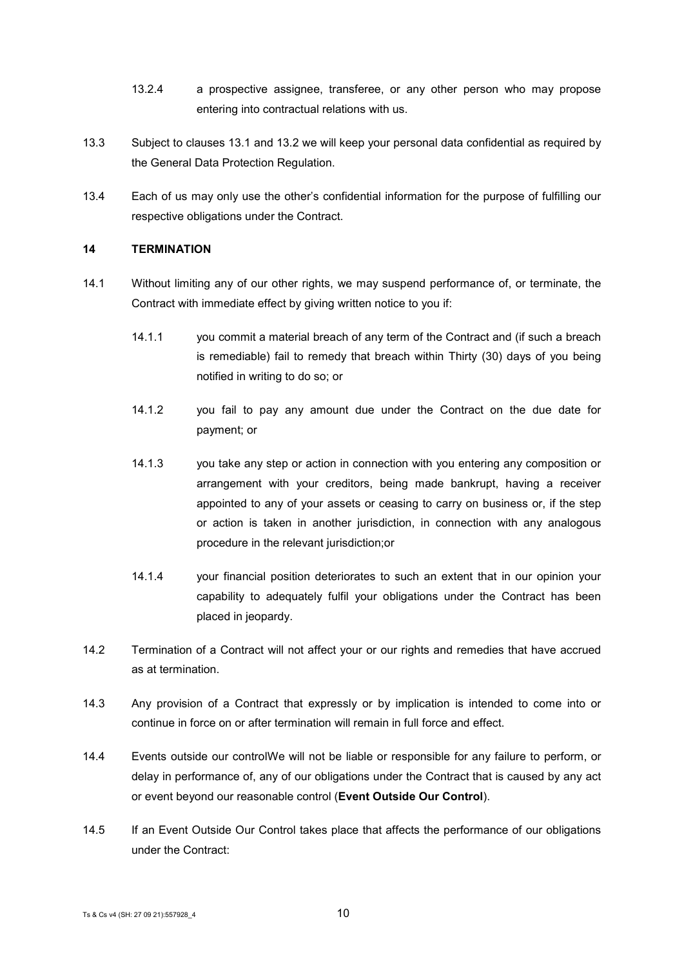- 13.2.4 a prospective assignee, transferee, or any other person who may propose entering into contractual relations with us.
- 13.3 Subject to clauses [13.1](#page-8-0) and [13.2](#page-8-1) we will keep your personal data confidential as required by the General Data Protection Regulation.
- 13.4 Each of us may only use the other's confidential information for the purpose of fulfilling our respective obligations under the Contract.

## **14 TERMINATION**

- 14.1 Without limiting any of our other rights, we may suspend performance of, or terminate, the Contract with immediate effect by giving written notice to you if:
	- 14.1.1 you commit a material breach of any term of the Contract and (if such a breach is remediable) fail to remedy that breach within Thirty (30) days of you being notified in writing to do so; or
	- 14.1.2 you fail to pay any amount due under the Contract on the due date for payment; or
	- 14.1.3 you take any step or action in connection with you entering any composition or arrangement with your creditors, being made bankrupt, having a receiver appointed to any of your assets or ceasing to carry on business or, if the step or action is taken in another jurisdiction, in connection with any analogous procedure in the relevant jurisdiction;or
	- 14.1.4 your financial position deteriorates to such an extent that in our opinion your capability to adequately fulfil your obligations under the Contract has been placed in jeopardy.
- 14.2 Termination of a Contract will not affect your or our rights and remedies that have accrued as at termination.
- 14.3 Any provision of a Contract that expressly or by implication is intended to come into or continue in force on or after termination will remain in full force and effect.
- 14.4 Events outside our controlWe will not be liable or responsible for any failure to perform, or delay in performance of, any of our obligations under the Contract that is caused by any act or event beyond our reasonable control (**Event Outside Our Control**).
- 14.5 If an Event Outside Our Control takes place that affects the performance of our obligations under the Contract: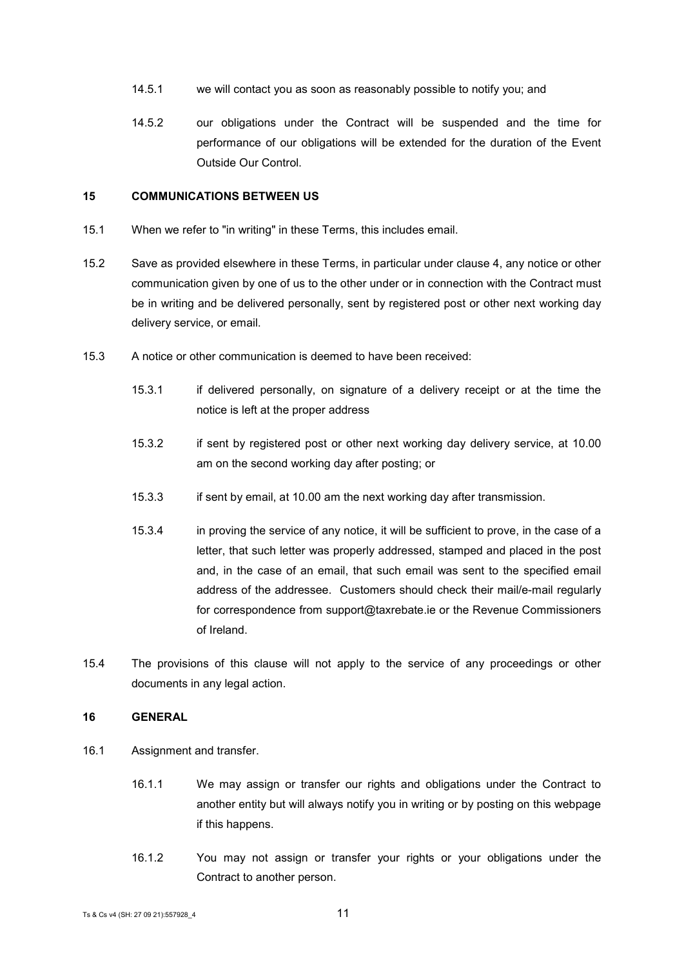- 14.5.1 we will contact you as soon as reasonably possible to notify you; and
- 14.5.2 our obligations under the Contract will be suspended and the time for performance of our obligations will be extended for the duration of the Event Outside Our Control.

# **15 COMMUNICATIONS BETWEEN US**

- 15.1 When we refer to "in writing" in these Terms, this includes email.
- 15.2 Save as provided elsewhere in these Terms, in particular under clause 4, any notice or other communication given by one of us to the other under or in connection with the Contract must be in writing and be delivered personally, sent by registered post or other next working day delivery service, or email.
- 15.3 A notice or other communication is deemed to have been received:
	- 15.3.1 if delivered personally, on signature of a delivery receipt or at the time the notice is left at the proper address
	- 15.3.2 if sent by registered post or other next working day delivery service, at 10.00 am on the second working day after posting; or
	- 15.3.3 if sent by email, at 10.00 am the next working day after transmission.
	- 15.3.4 in proving the service of any notice, it will be sufficient to prove, in the case of a letter, that such letter was properly addressed, stamped and placed in the post and, in the case of an email, that such email was sent to the specified email address of the addressee. Customers should check their mail/e-mail regularly for correspondence from support@taxrebate.ie or the Revenue Commissioners of Ireland.
- 15.4 The provisions of this clause will not apply to the service of any proceedings or other documents in any legal action.

## **16 GENERAL**

- 16.1 Assignment and transfer.
	- 16.1.1 We may assign or transfer our rights and obligations under the Contract to another entity but will always notify you in writing or by posting on this webpage if this happens.
	- 16.1.2 You may not assign or transfer your rights or your obligations under the Contract to another person.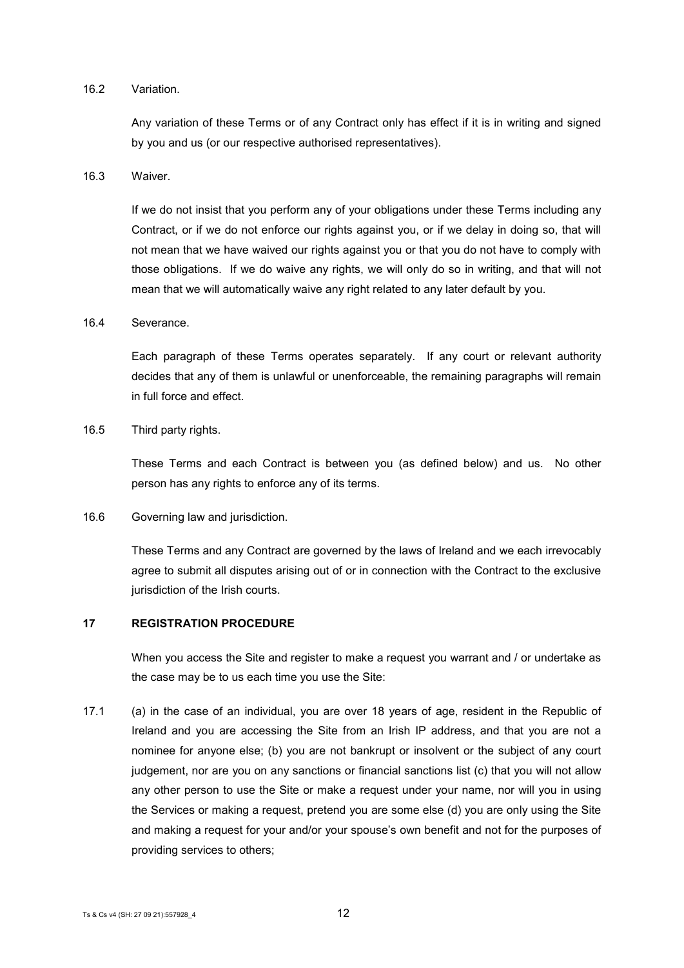## 16.2 Variation.

Any variation of these Terms or of any Contract only has effect if it is in writing and signed by you and us (or our respective authorised representatives).

#### 16.3 Waiver.

If we do not insist that you perform any of your obligations under these Terms including any Contract, or if we do not enforce our rights against you, or if we delay in doing so, that will not mean that we have waived our rights against you or that you do not have to comply with those obligations. If we do waive any rights, we will only do so in writing, and that will not mean that we will automatically waive any right related to any later default by you.

#### 16.4 Severance.

Each paragraph of these Terms operates separately. If any court or relevant authority decides that any of them is unlawful or unenforceable, the remaining paragraphs will remain in full force and effect.

#### 16.5 Third party rights.

These Terms and each Contract is between you (as defined below) and us. No other person has any rights to enforce any of its terms.

#### 16.6 Governing law and jurisdiction.

These Terms and any Contract are governed by the laws of Ireland and we each irrevocably agree to submit all disputes arising out of or in connection with the Contract to the exclusive jurisdiction of the Irish courts.

## **17 REGISTRATION PROCEDURE**

When you access the Site and register to make a request you warrant and / or undertake as the case may be to us each time you use the Site:

17.1 (a) in the case of an individual, you are over 18 years of age, resident in the Republic of Ireland and you are accessing the Site from an Irish IP address, and that you are not a nominee for anyone else; (b) you are not bankrupt or insolvent or the subject of any court judgement, nor are you on any sanctions or financial sanctions list (c) that you will not allow any other person to use the Site or make a request under your name, nor will you in using the Services or making a request, pretend you are some else (d) you are only using the Site and making a request for your and/or your spouse's own benefit and not for the purposes of providing services to others;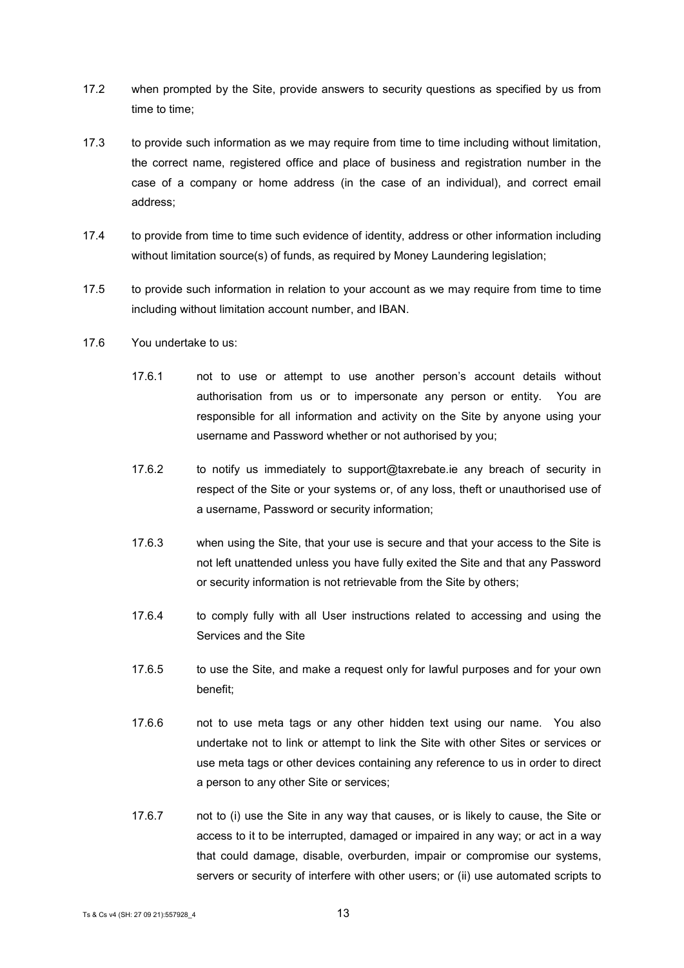- 17.2 when prompted by the Site, provide answers to security questions as specified by us from time to time;
- 17.3 to provide such information as we may require from time to time including without limitation, the correct name, registered office and place of business and registration number in the case of a company or home address (in the case of an individual), and correct email address;
- 17.4 to provide from time to time such evidence of identity, address or other information including without limitation source(s) of funds, as required by Money Laundering legislation;
- 17.5 to provide such information in relation to your account as we may require from time to time including without limitation account number, and IBAN.
- 17.6 You undertake to us:
	- 17.6.1 not to use or attempt to use another person's account details without authorisation from us or to impersonate any person or entity. You are responsible for all information and activity on the Site by anyone using your username and Password whether or not authorised by you;
	- 17.6.2 to notify us immediately to support@taxrebate.ie any breach of security in respect of the Site or your systems or, of any loss, theft or unauthorised use of a username, Password or security information;
	- 17.6.3 when using the Site, that your use is secure and that your access to the Site is not left unattended unless you have fully exited the Site and that any Password or security information is not retrievable from the Site by others;
	- 17.6.4 to comply fully with all User instructions related to accessing and using the Services and the Site
	- 17.6.5 to use the Site, and make a request only for lawful purposes and for your own benefit;
	- 17.6.6 not to use meta tags or any other hidden text using our name. You also undertake not to link or attempt to link the Site with other Sites or services or use meta tags or other devices containing any reference to us in order to direct a person to any other Site or services;
	- 17.6.7 not to (i) use the Site in any way that causes, or is likely to cause, the Site or access to it to be interrupted, damaged or impaired in any way; or act in a way that could damage, disable, overburden, impair or compromise our systems, servers or security of interfere with other users; or (ii) use automated scripts to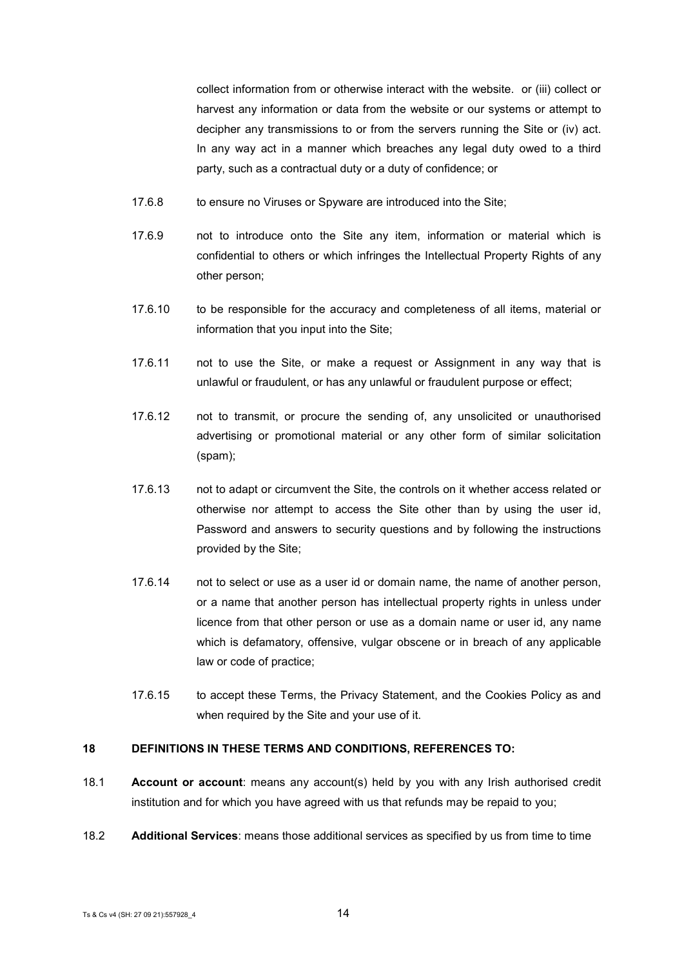collect information from or otherwise interact with the website. or (iii) collect or harvest any information or data from the website or our systems or attempt to decipher any transmissions to or from the servers running the Site or (iv) act. In any way act in a manner which breaches any legal duty owed to a third party, such as a contractual duty or a duty of confidence; or

- 17.6.8 to ensure no Viruses or Spyware are introduced into the Site;
- 17.6.9 not to introduce onto the Site any item, information or material which is confidential to others or which infringes the Intellectual Property Rights of any other person;
- 17.6.10 to be responsible for the accuracy and completeness of all items, material or information that you input into the Site;
- 17.6.11 not to use the Site, or make a request or Assignment in any way that is unlawful or fraudulent, or has any unlawful or fraudulent purpose or effect;
- 17.6.12 not to transmit, or procure the sending of, any unsolicited or unauthorised advertising or promotional material or any other form of similar solicitation (spam);
- 17.6.13 not to adapt or circumvent the Site, the controls on it whether access related or otherwise nor attempt to access the Site other than by using the user id, Password and answers to security questions and by following the instructions provided by the Site;
- 17.6.14 not to select or use as a user id or domain name, the name of another person, or a name that another person has intellectual property rights in unless under licence from that other person or use as a domain name or user id, any name which is defamatory, offensive, vulgar obscene or in breach of any applicable law or code of practice;
- 17.6.15 to accept these Terms, the Privacy Statement, and the Cookies Policy as and when required by the Site and your use of it.

## **18 DEFINITIONS IN THESE TERMS AND CONDITIONS, REFERENCES TO:**

- 18.1 **Account or account**: means any account(s) held by you with any Irish authorised credit institution and for which you have agreed with us that refunds may be repaid to you;
- 18.2 **Additional Services**: means those additional services as specified by us from time to time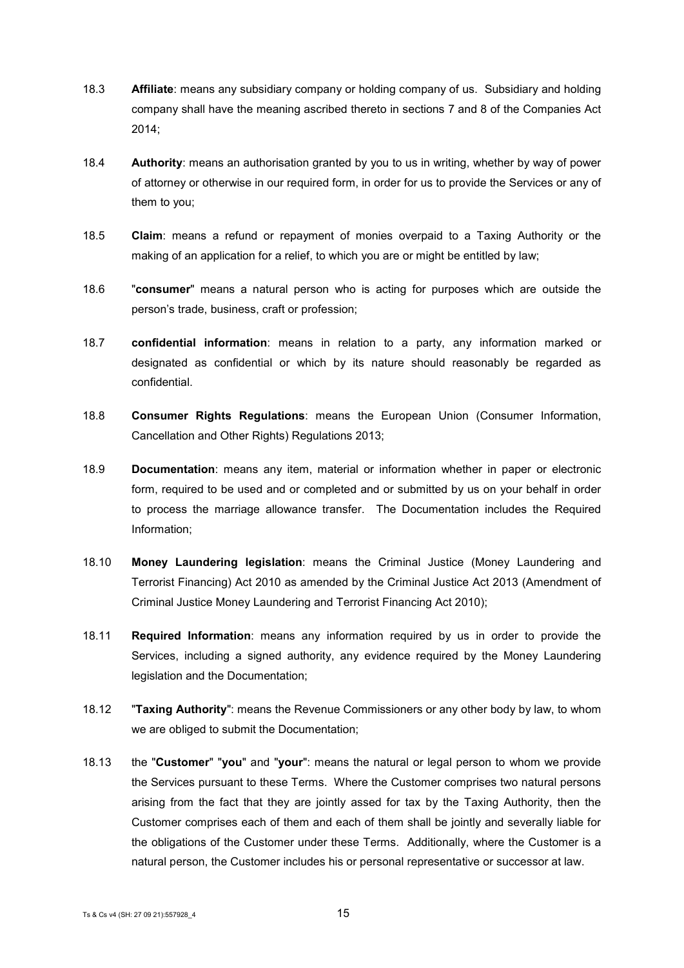- 18.3 **Affiliate**: means any subsidiary company or holding company of us. Subsidiary and holding company shall have the meaning ascribed thereto in sections 7 and 8 of the Companies Act 2014;
- 18.4 **Authority**: means an authorisation granted by you to us in writing, whether by way of power of attorney or otherwise in our required form, in order for us to provide the Services or any of them to you;
- 18.5 **Claim**: means a refund or repayment of monies overpaid to a Taxing Authority or the making of an application for a relief, to which you are or might be entitled by law;
- 18.6 "**consumer**" means a natural person who is acting for purposes which are outside the person's trade, business, craft or profession;
- 18.7 **confidential information**: means in relation to a party, any information marked or designated as confidential or which by its nature should reasonably be regarded as confidential.
- 18.8 **Consumer Rights Regulations**: means the European Union (Consumer Information, Cancellation and Other Rights) Regulations 2013;
- 18.9 **Documentation**: means any item, material or information whether in paper or electronic form, required to be used and or completed and or submitted by us on your behalf in order to process the marriage allowance transfer. The Documentation includes the Required Information;
- 18.10 **Money Laundering legislation**: means the Criminal Justice (Money Laundering and Terrorist Financing) Act 2010 as amended by the Criminal Justice Act 2013 (Amendment of Criminal Justice Money Laundering and Terrorist Financing Act 2010);
- 18.11 **Required Information**: means any information required by us in order to provide the Services, including a signed authority, any evidence required by the Money Laundering legislation and the Documentation;
- 18.12 "**Taxing Authority**": means the Revenue Commissioners or any other body by law, to whom we are obliged to submit the Documentation;
- 18.13 the "**Customer**" "**you**" and "**your**": means the natural or legal person to whom we provide the Services pursuant to these Terms. Where the Customer comprises two natural persons arising from the fact that they are jointly assed for tax by the Taxing Authority, then the Customer comprises each of them and each of them shall be jointly and severally liable for the obligations of the Customer under these Terms. Additionally, where the Customer is a natural person, the Customer includes his or personal representative or successor at law.